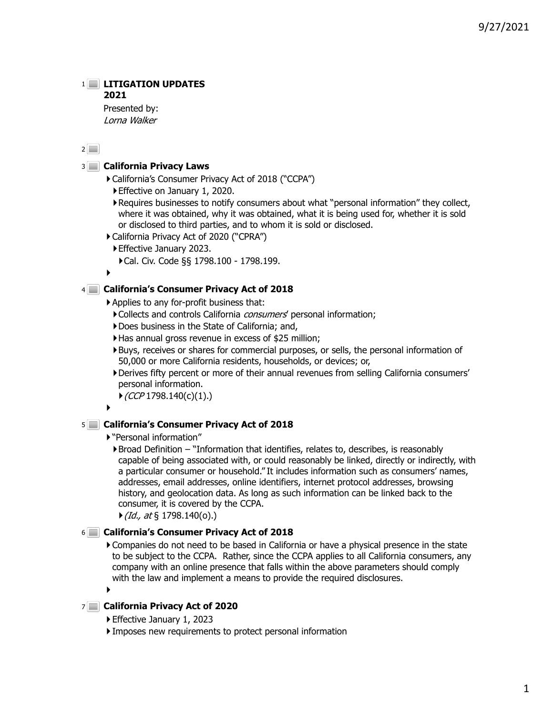# **LITIGATION UPDATES**

# **2021**

Presented by: Lorna Walker

 $2$ 

# **California Privacy Laws** 3

- California's Consumer Privacy Act of 2018 ("CCPA")
	- Effective on January 1, 2020.
	- Requires businesses to notify consumers about what "personal information" they collect, where it was obtained, why it was obtained, what it is being used for, whether it is sold or disclosed to third parties, and to whom it is sold or disclosed.
- California Privacy Act of 2020 ("CPRA")
- Effective January 2023.
	- Cal. Civ. Code §§ 1798.100 1798.199.

 $\blacktriangleright$ 

# **California's Consumer Privacy Act of 2018** 4

- Applies to any for-profit business that:
	- Collects and controls California *consumers'* personal information;
	- Does business in the State of California; and,
	- Has annual gross revenue in excess of \$25 million;
	- Buys, receives or shares for commercial purposes, or sells, the personal information of 50,000 or more California residents, households, or devices; or,
	- Derives fifty percent or more of their annual revenues from selling California consumers' personal information.
	- $\blacktriangleright$  (CCP 1798.140(c)(1).)

#### $\blacktriangleright$

# **California's Consumer Privacy Act of 2018** 5

- "Personal information"
	- $\blacktriangleright$  Broad Definition  $-$  "Information that identifies, relates to, describes, is reasonably capable of being associated with, or could reasonably be linked, directly or indirectly, with a particular consumer or household." It includes information such as consumers' names, addresses, email addresses, online identifiers, internet protocol addresses, browsing history, and geolocation data. As long as such information can be linked back to the consumer, it is covered by the CCPA.
	- $\blacktriangleright$  (Id., at § 1798.140(o).)

# **California's Consumer Privacy Act of 2018** 6

Companies do not need to be based in California or have a physical presence in the state to be subject to the CCPA. Rather, since the CCPA applies to all California consumers, any company with an online presence that falls within the above parameters should comply with the law and implement a means to provide the required disclosures.

 $\blacktriangleright$ 

# **California Privacy Act of 2020** 7

- Effective January 1, 2023
- Imposes new requirements to protect personal information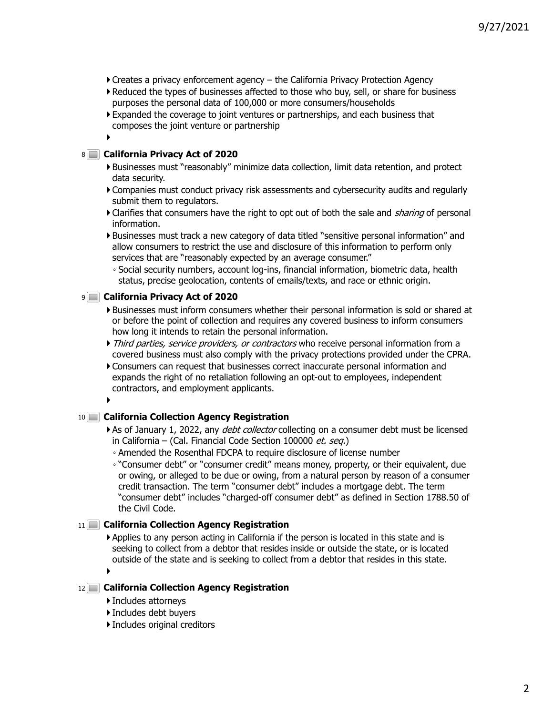- Creates a privacy enforcement agency the California Privacy Protection Agency
- Reduced the types of businesses affected to those who buy, sell, or share for business purposes the personal data of 100,000 or more consumers/households
- Expanded the coverage to joint ventures or partnerships, and each business that composes the joint venture or partnership

# ▶

# **California Privacy Act of 2020** 8

- Businesses must "reasonably" minimize data collection, limit data retention, and protect data security.
- Companies must conduct privacy risk assessments and cybersecurity audits and regularly submit them to regulators.
- Clarifies that consumers have the right to opt out of both the sale and *sharing* of personal information.
- Businesses must track a new category of data titled "sensitive personal information" and allow consumers to restrict the use and disclosure of this information to perform only services that are "reasonably expected by an average consumer."
	- Social security numbers, account log-ins, financial information, biometric data, health status, precise geolocation, contents of emails/texts, and race or ethnic origin.

# **California Privacy Act of 2020** 9

- Businesses must inform consumers whether their personal information is sold or shared at or before the point of collection and requires any covered business to inform consumers how long it intends to retain the personal information.
- Third parties, service providers, or contractors who receive personal information from a covered business must also comply with the privacy protections provided under the CPRA.
- Consumers can request that businesses correct inaccurate personal information and expands the right of no retaliation following an opt-out to employees, independent contractors, and employment applicants.

## $\blacktriangleright$

# **California Collection Agency Registration** 10

- As of January 1, 2022, any *debt collector* collecting on a consumer debt must be licensed in California – (Cal. Financial Code Section 100000 et. seq.)
	- Amended the Rosenthal FDCPA to require disclosure of license number

◦ "Consumer debt" or "consumer credit" means money, property, or their equivalent, due or owing, or alleged to be due or owing, from a natural person by reason of a consumer credit transaction. The term "consumer debt" includes a mortgage debt. The term "consumer debt" includes "charged-off consumer debt" as defined in Section 1788.50 of the Civil Code.

# **California Collection Agency Registration** 11

Applies to any person acting in California if the person is located in this state and is seeking to collect from a debtor that resides inside or outside the state, or is located outside of the state and is seeking to collect from a debtor that resides in this state.

 $\blacktriangleright$ 

# **California Collection Agency Registration** 12

- Includes attorneys
- Includes debt buyers
- Includes original creditors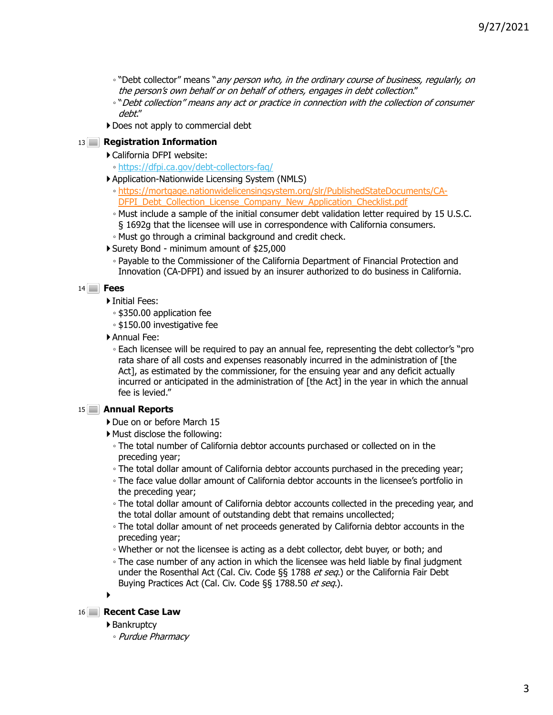- "Debt collector" means "any person who, in the ordinary course of business, regularly, on the person's own behalf or on behalf of others, engages in debt collection."
- "Debt collection" means any act or practice in connection with the collection of consumer debt."
- Does not apply to commercial debt

# 13 **Registration Information**

- California DFPI website:
	- https://dfpi.ca.gov/debt-collectors-faq/
- Application-Nationwide Licensing System (NMLS)
	- https://mortgage.nationwidelicensingsystem.org/slr/PublishedStateDocuments/CA-DFPI\_Debt\_Collection\_License\_Company\_New\_Application\_Checklist.pdf
	- Must include a sample of the initial consumer debt validation letter required by 15 U.S.C. § 1692g that the licensee will use in correspondence with California consumers.
	- Must go through a criminal background and credit check.
- Surety Bond minimum amount of \$25,000
	- Payable to the Commissioner of the California Department of Financial Protection and Innovation (CA-DFPI) and issued by an insurer authorized to do business in California.

# **Fees** 14

- Initial Fees:
	- \$350.00 application fee
	- \$150.00 investigative fee
- Annual Fee:

◦ Each licensee will be required to pay an annual fee, representing the debt collector's "pro rata share of all costs and expenses reasonably incurred in the administration of [the Act], as estimated by the commissioner, for the ensuing year and any deficit actually incurred or anticipated in the administration of [the Act] in the year in which the annual fee is levied."

# **Annual Reports** 15

- Due on or before March 15
- Must disclose the following:
	- The total number of California debtor accounts purchased or collected on in the preceding year;
	- The total dollar amount of California debtor accounts purchased in the preceding year;
	- The face value dollar amount of California debtor accounts in the licensee's portfolio in the preceding year;
	- The total dollar amount of California debtor accounts collected in the preceding year, and the total dollar amount of outstanding debt that remains uncollected;
	- The total dollar amount of net proceeds generated by California debtor accounts in the preceding year;
	- Whether or not the licensee is acting as a debt collector, debt buyer, or both; and
	- The case number of any action in which the licensee was held liable by final judgment under the Rosenthal Act (Cal. Civ. Code §§ 1788 et seq.) or the California Fair Debt Buying Practices Act (Cal. Civ. Code §§ 1788.50 et seq.).
- ь

# 16 **Recent Case Law**

- ▶ Bankruptcy
	- Purdue Pharmacy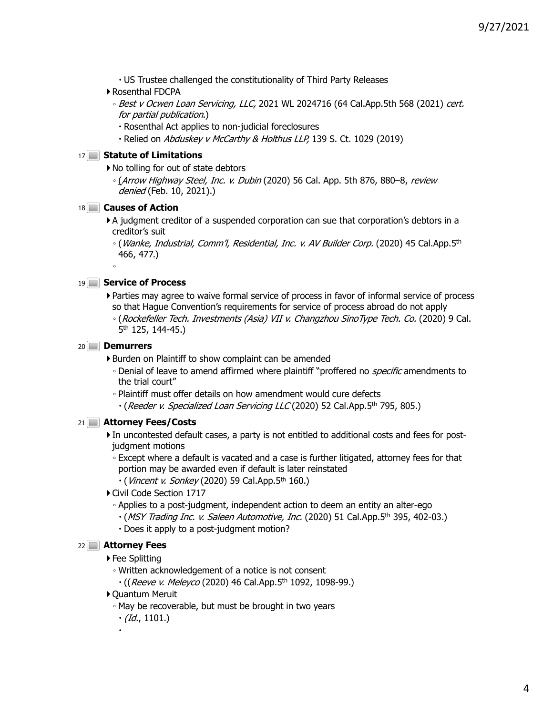- US Trustee challenged the constitutionality of Third Party Releases
- Rosenthal FDCPA
	- Best v Ocwen Loan Servicing, LLC, 2021 WL 2024716 (64 Cal.App.5th 568 (2021) cert. for partial publication.)
		- Rosenthal Act applies to non-judicial foreclosures
		- Relied on Abduskey v McCarthy & Holthus LLP, 139 S. Ct. 1029 (2019)

### **Statute of Limitations** 17

▶ No tolling for out of state debtors

◦ (Arrow Highway Steel, Inc. v. Dubin (2020) 56 Cal. App. 5th 876, 880–8, review denied (Feb. 10, 2021).)

### **Causes of Action** 18

A judgment creditor of a suspended corporation can sue that corporation's debtors in a creditor's suit

◦ (Wanke, Industrial, Comm'l, Residential, Inc. v. AV Builder Corp. (2020) 45 Cal.App.5th 466, 477.)

### **Service of Process** 19

- Parties may agree to waive formal service of process in favor of informal service of process so that Hague Convention's requirements for service of process abroad do not apply
	- (Rockefeller Tech. Investments (Asia) VII v. Changzhou SinoType Tech. Co. (2020) 9 Cal. 5th 125, 144-45.)

#### **Demurrers** 20

◦

▶ Burden on Plaintiff to show complaint can be amended

- Denial of leave to amend affirmed where plaintiff "proffered no *specific* amendments to the trial court"
- Plaintiff must offer details on how amendment would cure defects
	- (Reeder v. Specialized Loan Servicing LLC (2020) 52 Cal.App.5th 795, 805.)

#### **Attorney Fees/Costs** 21

- In uncontested default cases, a party is not entitled to additional costs and fees for postjudgment motions
	- Except where a default is vacated and a case is further litigated, attorney fees for that portion may be awarded even if default is later reinstated
		- $\cdot$  (*Vincent v. Sonkey* (2020) 59 Cal.App.5<sup>th</sup> 160.)
- Civil Code Section 1717
	- Applies to a post-judgment, independent action to deem an entity an alter-ego
	- (MSY Trading Inc. v. Saleen Automotive, Inc. (2020) 51 Cal.App.5th 395, 402-03.)
	- Does it apply to a post-judgment motion?

#### **Attorney Fees** 22

▶ Fee Splitting

◦ Written acknowledgement of a notice is not consent

- $\cdot$  ((Reeve v. Meleyco (2020) 46 Cal.App.5<sup>th</sup> 1092, 1098-99.)
- Quantum Meruit
	- May be recoverable, but must be brought in two years
	- $\cdot$  (Id., 1101.)

.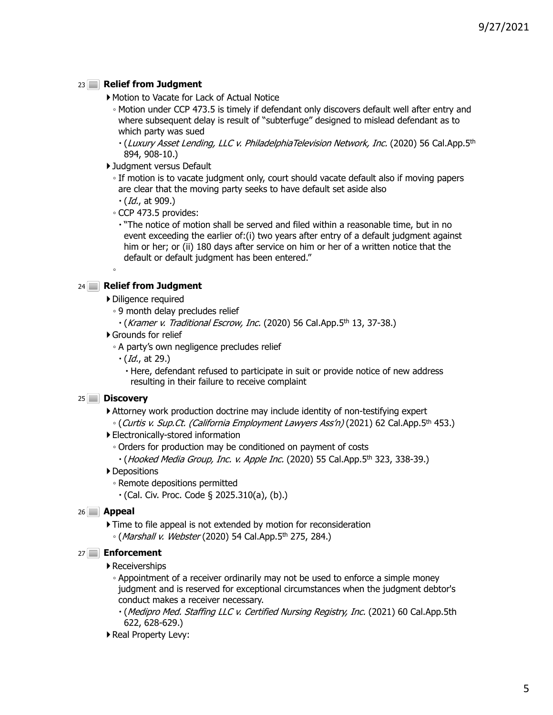# 23 **Relief from Judgment**

- Motion to Vacate for Lack of Actual Notice
	- Motion under CCP 473.5 is timely if defendant only discovers default well after entry and where subsequent delay is result of "subterfuge" designed to mislead defendant as to which party was sued
	- (Luxury Asset Lending, LLC v. PhiladelphiaTelevision Network, Inc. (2020) 56 Cal.App.5th 894, 908-10.)
- Judgment versus Default
	- If motion is to vacate judgment only, court should vacate default also if moving papers are clear that the moving party seeks to have default set aside also
	- $\cdot$  (*Id.*, at 909.)
	- CCP 473.5 provides:
		- "The notice of motion shall be served and filed within a reasonable time, but in no event exceeding the earlier of:(i) two years after entry of a default judgment against him or her; or (ii) 180 days after service on him or her of a written notice that the default or default judgment has been entered."

# 24 **Relief from Judgment**

◦

- Diligence required
	- 9 month delay precludes relief
		- $\cdot$  (Kramer v. Traditional Escrow, Inc. (2020) 56 Cal.App.5<sup>th</sup> 13, 37-38.)
- Grounds for relief
	- A party's own negligence precludes relief
		- $\cdot$  (*Id.*, at 29.)

 Here, defendant refused to participate in suit or provide notice of new address resulting in their failure to receive complaint

# **Discovery** 25

Attorney work production doctrine may include identity of non-testifying expert

- (Curtis v. Sup.Ct. (California Employment Lawyers Ass'n) (2021) 62 Cal.App.5th 453.)
- Electronically-stored information
	- Orders for production may be conditioned on payment of costs
	- $\cdot$  (Hooked Media Group, Inc. v. Apple Inc. (2020) 55 Cal.App.5<sup>th</sup> 323, 338-39.)
- ▶ Depositions
	- Remote depositions permitted
		- $\cdot$  (Cal. Civ. Proc. Code § 2025.310(a), (b).)

# **Appeal** 26

Time to file appeal is not extended by motion for reconsideration ◦ (*Marshall v. Webster* (2020) 54 Cal.App.5<sup>th</sup> 275, 284.)

# **Enforcement** 27

# Receiverships

- Appointment of a receiver ordinarily may not be used to enforce a simple money judgment and is reserved for exceptional circumstances when the judgment debtor's conduct makes a receiver necessary.
	- (Medipro Med. Staffing LLC v. Certified Nursing Registry, Inc. (2021) 60 Cal.App.5th 622, 628-629.)
- Real Property Levy: